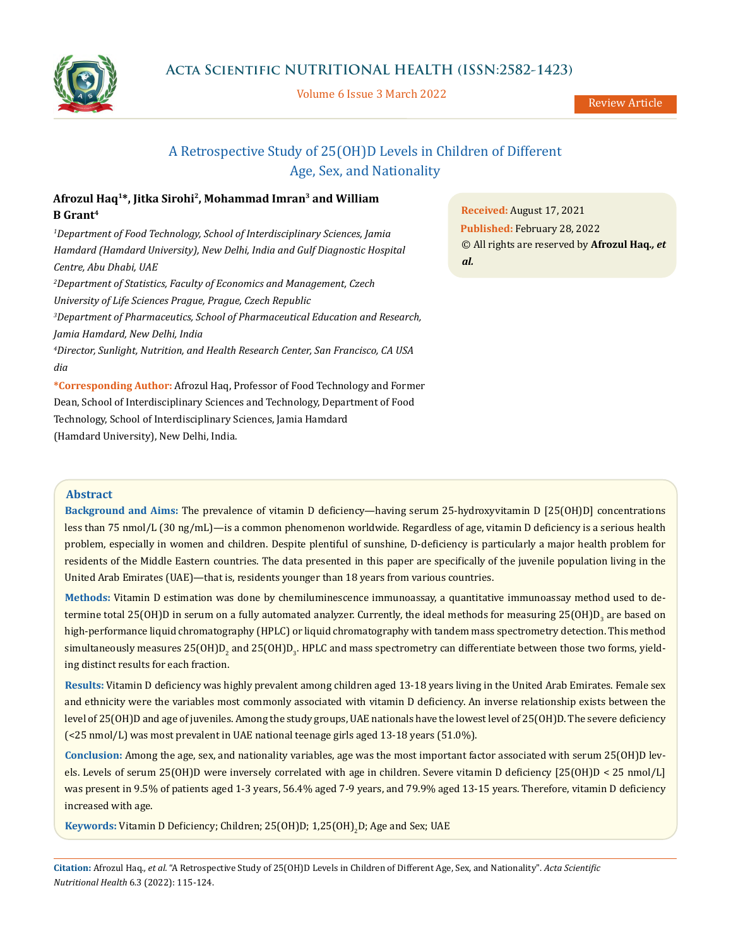

Volume 6 Issue 3 March 2022

Review Article

# A Retrospective Study of 25(OH)D Levels in Children of Different Age, Sex, and Nationality

## **Afrozul Haq1\*, Jitka Sirohi2, Mohammad Imran3 and William B Grant4**

*1 Department of Food Technology, School of Interdisciplinary Sciences, Jamia Hamdard (Hamdard University), New Delhi, India and Gulf Diagnostic Hospital Centre, Abu Dhabi, UAE 2 Department of Statistics, Faculty of Economics and Management, Czech University of Life Sciences Prague, Prague, Czech Republic 3 Department of Pharmaceutics, School of Pharmaceutical Education and Research, Jamia Hamdard, New Delhi, India 4 Director, Sunlight, Nutrition, and Health Research Center, San Francisco, CA USA dia*

**\*Corresponding Author:** Afrozul Haq, Professor of Food Technology and Former Dean, School of Interdisciplinary Sciences and Technology, Department of Food Technology, School of Interdisciplinary Sciences, Jamia Hamdard (Hamdard University), New Delhi, India.

**Received:** August 17, 2021 **Published:** February 28, 2022 © All rights are reserved by **Afrozul Haq***., et al.*

## **Abstract**

**Background and Aims:** The prevalence of vitamin D deficiency—having serum 25-hydroxyvitamin D [25(OH)D] concentrations less than 75 nmol/L (30 ng/mL)—is a common phenomenon worldwide. Regardless of age, vitamin D deficiency is a serious health problem, especially in women and children. Despite plentiful of sunshine, D-deficiency is particularly a major health problem for residents of the Middle Eastern countries. The data presented in this paper are specifically of the juvenile population living in the United Arab Emirates (UAE)—that is, residents younger than 18 years from various countries.

**Methods:** Vitamin D estimation was done by chemiluminescence immunoassay, a quantitative immunoassay method used to determine total 25(OH)D in serum on a fully automated analyzer. Currently, the ideal methods for measuring 25(OH)D<sub>3</sub> are based on high-performance liquid chromatography (HPLC) or liquid chromatography with tandem mass spectrometry detection. This method  $\rm simultaneously$  measures 25(OH)D<sub>2</sub> and 25(OH)D<sub>3</sub>. HPLC and mass spectrometry can differentiate between those two forms, yielding distinct results for each fraction.

**Results:** Vitamin D deficiency was highly prevalent among children aged 13-18 years living in the United Arab Emirates. Female sex and ethnicity were the variables most commonly associated with vitamin D deficiency. An inverse relationship exists between the level of 25(OH)D and age of juveniles. Among the study groups, UAE nationals have the lowest level of 25(OH)D. The severe deficiency (<25 nmol/L) was most prevalent in UAE national teenage girls aged 13-18 years (51.0%).

**Conclusion:** Among the age, sex, and nationality variables, age was the most important factor associated with serum 25(OH)D levels. Levels of serum 25(OH)D were inversely correlated with age in children. Severe vitamin D deficiency [25(OH)D < 25 nmol/L] was present in 9.5% of patients aged 1-3 years, 56.4% aged 7-9 years, and 79.9% aged 13-15 years. Therefore, vitamin D deficiency increased with age.

**Keywords: Vitamin D Deficiency; Children; 25(OH)D; 1,25(OH)<sub>2</sub>D; Age and Sex; UAE**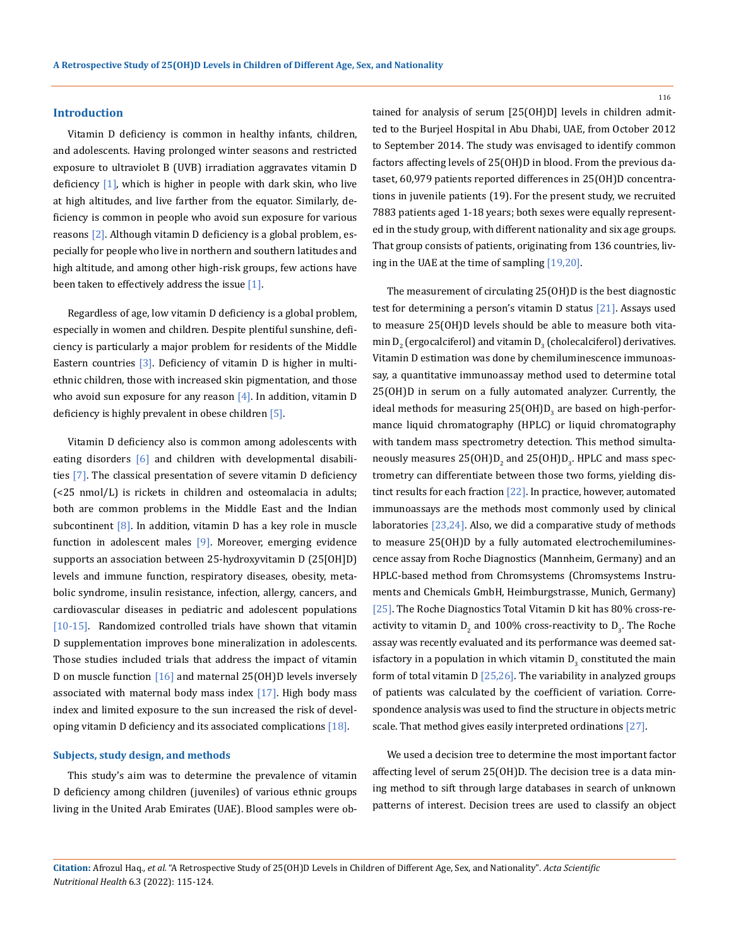#### **Introduction**

Vitamin D deficiency is common in healthy infants, children, and adolescents. Having prolonged winter seasons and restricted exposure to ultraviolet B (UVB) irradiation aggravates vitamin D deficiency [1], which is higher in people with dark skin, who live at high altitudes, and live farther from the equator. Similarly, deficiency is common in people who avoid sun exposure for various reasons [2]. Although vitamin D deficiency is a global problem, especially for people who live in northern and southern latitudes and high altitude, and among other high-risk groups, few actions have been taken to effectively address the issue  $[1]$ .

Regardless of age, low vitamin D deficiency is a global problem, especially in women and children. Despite plentiful sunshine, deficiency is particularly a major problem for residents of the Middle Eastern countries  $\lceil 3 \rceil$ . Deficiency of vitamin D is higher in multiethnic children, those with increased skin pigmentation, and those who avoid sun exposure for any reason  $[4]$ . In addition, vitamin D deficiency is highly prevalent in obese children [5].

Vitamin D deficiency also is common among adolescents with eating disorders [6] and children with developmental disabilities [7]. The classical presentation of severe vitamin D deficiency (<25 nmol/L) is rickets in children and osteomalacia in adults; both are common problems in the Middle East and the Indian subcontinent  $[8]$ . In addition, vitamin D has a key role in muscle function in adolescent males [9]. Moreover, emerging evidence supports an association between 25-hydroxyvitamin D (25[OH]D) levels and immune function, respiratory diseases, obesity, metabolic syndrome, insulin resistance, infection, allergy, cancers, and cardiovascular diseases in pediatric and adolescent populations [10-15]. Randomized controlled trials have shown that vitamin D supplementation improves bone mineralization in adolescents. Those studies included trials that address the impact of vitamin D on muscle function [16] and maternal 25(OH)D levels inversely associated with maternal body mass index  $[17]$ . High body mass index and limited exposure to the sun increased the risk of developing vitamin D deficiency and its associated complications [18].

### **Subjects, study design, and methods**

This study's aim was to determine the prevalence of vitamin D deficiency among children (juveniles) of various ethnic groups living in the United Arab Emirates (UAE). Blood samples were obtained for analysis of serum [25(OH)D] levels in children admitted to the Burjeel Hospital in Abu Dhabi, UAE, from October 2012 to September 2014. The study was envisaged to identify common factors affecting levels of 25(OH)D in blood. From the previous dataset, 60,979 patients reported differences in 25(OH)D concentrations in juvenile patients (19). For the present study, we recruited 7883 patients aged 1-18 years; both sexes were equally represented in the study group, with different nationality and six age groups. That group consists of patients, originating from 136 countries, living in the UAE at the time of sampling [19,20].

The measurement of circulating 25(OH)D is the best diagnostic test for determining a person's vitamin D status [21]. Assays used to measure 25(OH)D levels should be able to measure both vita- $\min\limits_{2}$  (ergocalciferol) and vitamin  $D_{_{3}}$  (cholecalciferol) derivatives. Vitamin D estimation was done by chemiluminescence immunoassay, a quantitative immunoassay method used to determine total 25(OH)D in serum on a fully automated analyzer. Currently, the ideal methods for measuring 25(OH)D<sub>3</sub> are based on high-performance liquid chromatography (HPLC) or liquid chromatography with tandem mass spectrometry detection. This method simultaneously measures  $25(OH)D_2$  and  $25(OH)D_3$ . HPLC and mass spectrometry can differentiate between those two forms, yielding distinct results for each fraction [22]. In practice, however, automated immunoassays are the methods most commonly used by clinical laboratories [23,24]. Also, we did a comparative study of methods to measure 25(OH)D by a fully automated electrochemiluminescence assay from Roche Diagnostics (Mannheim, Germany) and an HPLC-based method from Chromsystems (Chromsystems Instruments and Chemicals GmbH, Heimburgstrasse, Munich, Germany) [25]. The Roche Diagnostics Total Vitamin D kit has 80% cross-reactivity to vitamin  $D_2$  and 100% cross-reactivity to  $D_3$ . The Roche assay was recently evaluated and its performance was deemed satisfactory in a population in which vitamin  $D_{3}$  constituted the main form of total vitamin  $D$   $[25,26]$ . The variability in analyzed groups of patients was calculated by the coefficient of variation. Correspondence analysis was used to find the structure in objects metric scale. That method gives easily interpreted ordinations [27].

We used a decision tree to determine the most important factor affecting level of serum 25(OH)D. The decision tree is a data mining method to sift through large databases in search of unknown patterns of interest. Decision trees are used to classify an object

**Citation:** Afrozul Haq*., et al.* "A Retrospective Study of 25(OH)D Levels in Children of Different Age, Sex, and Nationality". *Acta Scientific Nutritional Health* 6.3 (2022): 115-124.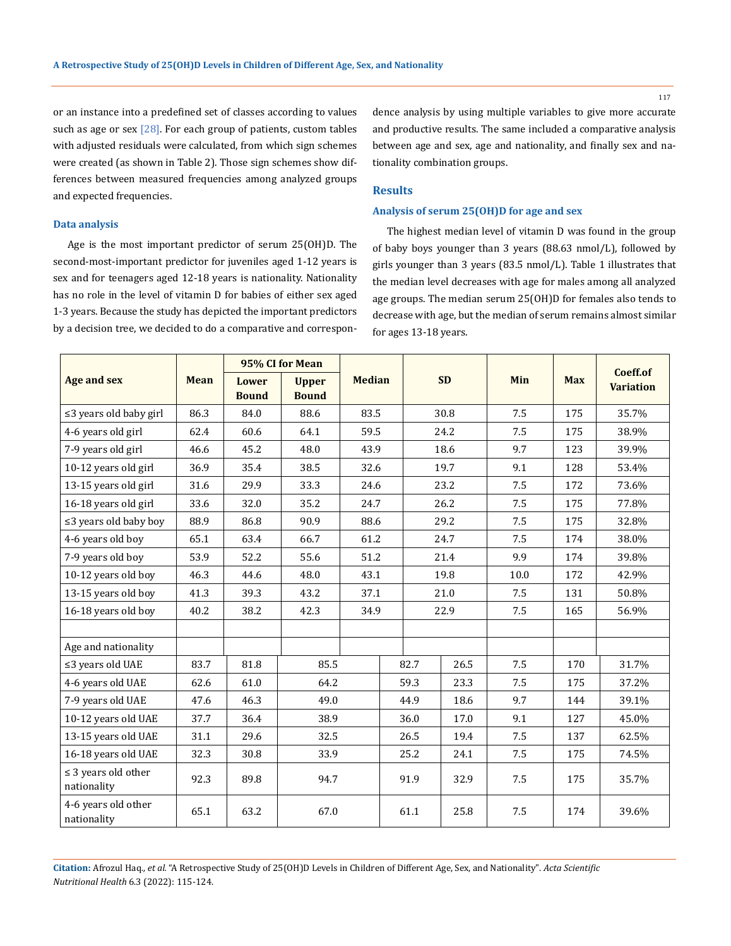117

or an instance into a predefined set of classes according to values such as age or sex  $[28]$ . For each group of patients, custom tables with adjusted residuals were calculated, from which sign schemes were created (as shown in Table 2). Those sign schemes show differences between measured frequencies among analyzed groups and expected frequencies.

dence analysis by using multiple variables to give more accurate and productive results. The same included a comparative analysis between age and sex, age and nationality, and finally sex and nationality combination groups.

## **Results**

## **Analysis of serum 25(OH)D for age and sex**

Age is the most important predictor of serum 25(OH)D. The second-most-important predictor for juveniles aged 1-12 years is sex and for teenagers aged 12-18 years is nationality. Nationality has no role in the level of vitamin D for babies of either sex aged 1-3 years. Because the study has depicted the important predictors by a decision tree, we decided to do a comparative and correspon-

**Data analysis** 

The highest median level of vitamin D was found in the group of baby boys younger than 3 years (88.63 nmol/L), followed by girls younger than 3 years (83.5 nmol/L). Table 1 illustrates that the median level decreases with age for males among all analyzed age groups. The median serum 25(OH)D for females also tends to decrease with age, but the median of serum remains almost similar for ages 13-18 years.

|                                         | <b>Mean</b> | 95% CI for Mean              |                              |               |      |              |      |      |            | Coeff.of         |
|-----------------------------------------|-------------|------------------------------|------------------------------|---------------|------|--------------|------|------|------------|------------------|
| <b>Age and sex</b>                      |             | <b>Lower</b><br><b>Bound</b> | <b>Upper</b><br><b>Bound</b> | <b>Median</b> |      | <b>SD</b>    |      | Min  | <b>Max</b> | <b>Variation</b> |
| $\leq$ 3 years old baby girl            | 86.3        | 84.0                         | 88.6                         |               | 83.5 |              | 30.8 | 7.5  | 175        | 35.7%            |
| 4-6 years old girl                      | 62.4        | 60.6                         | 64.1                         | 59.5          |      |              | 24.2 | 7.5  | 175        | 38.9%            |
| 7-9 years old girl                      | 46.6        | 45.2                         | 48.0                         | 43.9          |      |              | 18.6 | 9.7  | 123        | 39.9%            |
| 10-12 years old girl                    | 36.9        | 35.4                         | 38.5                         | 32.6          |      | 19.7         |      | 9.1  | 128        | 53.4%            |
| 13-15 years old girl                    | 31.6        | 29.9                         | 33.3                         | 24.6          |      | 23.2         |      | 7.5  | 172        | 73.6%            |
| 16-18 years old girl                    | 33.6        | 32.0                         | 35.2                         | 24.7          |      | 26.2         |      | 7.5  | 175        | 77.8%            |
| $\leq$ 3 years old baby boy             | 88.9        | 86.8                         | 90.9                         | 88.6          |      | 29.2         |      | 7.5  | 175        | 32.8%            |
| 4-6 years old boy                       | 65.1        | 63.4                         | 66.7                         | 61.2          |      | 24.7         |      | 7.5  | 174        | 38.0%            |
| 7-9 years old boy                       | 53.9        | 52.2                         | 55.6                         | 51.2          |      | 21.4         |      | 9.9  | 174        | 39.8%            |
| 10-12 years old boy                     | 46.3        | 44.6                         | 48.0                         | 43.1          |      | 19.8         |      | 10.0 | 172        | 42.9%            |
| 13-15 years old boy                     | 41.3        | 39.3                         | 43.2                         | 37.1          |      | 21.0         |      | 7.5  | 131        | 50.8%            |
| 16-18 years old boy                     | 40.2        | 38.2                         | 42.3                         | 34.9          |      | 22.9         |      | 7.5  | 165        | 56.9%            |
|                                         |             |                              |                              |               |      |              |      |      |            |                  |
| Age and nationality                     |             |                              |                              |               |      |              |      |      |            |                  |
| $\leq$ 3 years old UAE                  | 83.7        | 81.8                         | 85.5                         |               |      | 82.7         | 26.5 | 7.5  | 170        | 31.7%            |
| 4-6 years old UAE                       | 62.6        | 61.0                         | 64.2                         |               |      | 59.3         | 23.3 | 7.5  | 175        | 37.2%            |
| 7-9 years old UAE                       | 47.6        | 46.3                         | 49.0                         |               |      | 44.9         | 18.6 | 9.7  | 144        | 39.1%            |
| 10-12 years old UAE                     | 37.7        | 36.4                         | 38.9                         |               |      | 36.0         | 17.0 | 9.1  | 127        | 45.0%            |
| 13-15 years old UAE                     | 31.1        | 29.6                         | 32.5                         |               |      | 26.5<br>19.4 |      | 7.5  | 137        | 62.5%            |
| 16-18 years old UAE                     | 32.3        | 30.8                         | 33.9                         |               |      | 25.2         | 24.1 | 7.5  | 175        | 74.5%            |
| $\leq$ 3 years old other<br>nationality | 92.3        | 89.8                         | 94.7                         |               |      | 91.9<br>32.9 |      | 7.5  | 175        | 35.7%            |
| 4-6 years old other<br>nationality      | 65.1        | 63.2                         | 67.0                         |               |      | 61.1         | 25.8 | 7.5  | 174        | 39.6%            |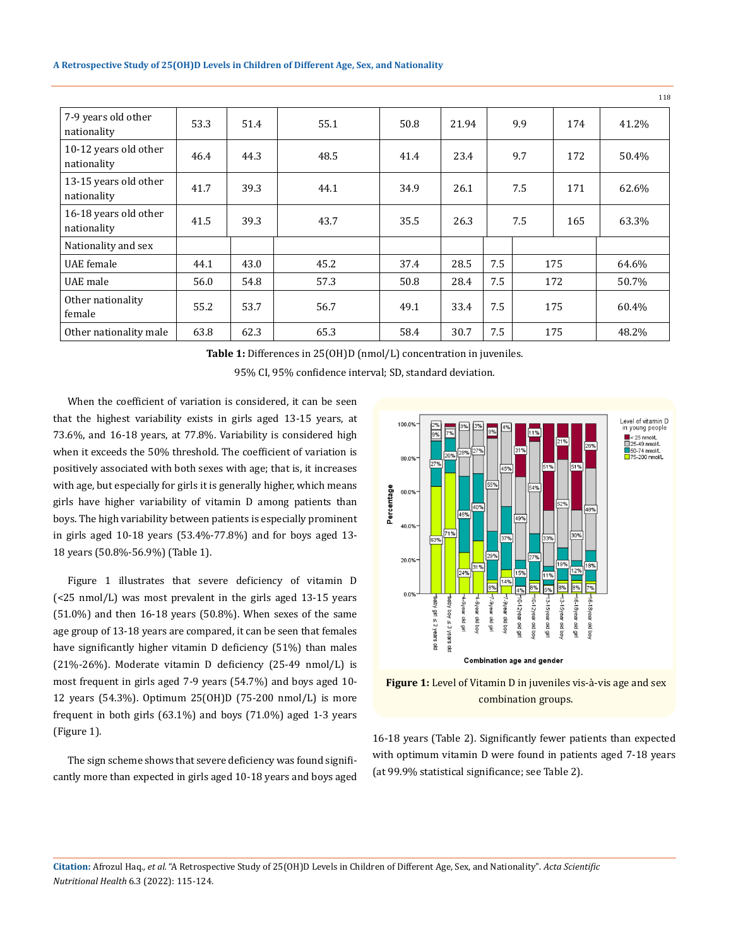|                                      |      |      |      |      |       |     |     |     | 118   |
|--------------------------------------|------|------|------|------|-------|-----|-----|-----|-------|
| 7-9 years old other<br>nationality   | 53.3 | 51.4 | 55.1 | 50.8 | 21.94 |     | 9.9 | 174 | 41.2% |
| 10-12 years old other<br>nationality | 46.4 | 44.3 | 48.5 | 41.4 | 23.4  |     | 9.7 | 172 | 50.4% |
| 13-15 years old other<br>nationality | 41.7 | 39.3 | 44.1 | 34.9 | 26.1  | 7.5 |     | 171 | 62.6% |
| 16-18 years old other<br>nationality | 41.5 | 39.3 | 43.7 | 35.5 | 26.3  | 7.5 |     | 165 | 63.3% |
| Nationality and sex                  |      |      |      |      |       |     |     |     |       |
| UAE female                           | 44.1 | 43.0 | 45.2 | 37.4 | 28.5  | 7.5 | 175 |     | 64.6% |
| UAE male                             | 56.0 | 54.8 | 57.3 | 50.8 | 28.4  | 7.5 | 172 |     | 50.7% |
| Other nationality<br>female          | 55.2 | 53.7 | 56.7 | 49.1 | 33.4  | 7.5 | 175 |     | 60.4% |
| Other nationality male               | 63.8 | 62.3 | 65.3 | 58.4 | 30.7  | 7.5 |     | 175 | 48.2% |

**Table 1:** Differences in 25(OH)D (nmol/L) concentration in juveniles.

95% CI, 95% confidence interval; SD, standard deviation.

When the coefficient of variation is considered, it can be seen that the highest variability exists in girls aged 13-15 years, at 73.6%, and 16-18 years, at 77.8%. Variability is considered high when it exceeds the 50% threshold. The coefficient of variation is positively associated with both sexes with age; that is, it increases with age, but especially for girls it is generally higher, which means girls have higher variability of vitamin D among patients than boys. The high variability between patients is especially prominent in girls aged 10-18 years (53.4%-77.8%) and for boys aged 13- 18 years (50.8%-56.9%) (Table 1).

Figure 1 illustrates that severe deficiency of vitamin D (<25 nmol/L) was most prevalent in the girls aged 13-15 years (51.0%) and then 16-18 years (50.8%). When sexes of the same age group of 13-18 years are compared, it can be seen that females have significantly higher vitamin D deficiency (51%) than males (21%-26%). Moderate vitamin D deficiency (25-49 nmol/L) is most frequent in girls aged 7-9 years (54.7%) and boys aged 10- 12 years (54.3%). Optimum 25(OH)D (75-200 nmol/L) is more frequent in both girls (63.1%) and boys (71.0%) aged 1-3 years (Figure 1).

The sign scheme shows that severe deficiency was found significantly more than expected in girls aged 10-18 years and boys aged



**Figure 1:** Level of Vitamin D in juveniles vis-à-vis age and sex combination groups.

16-18 years (Table 2). Significantly fewer patients than expected with optimum vitamin D were found in patients aged 7-18 years (at 99.9% statistical significance; see Table 2).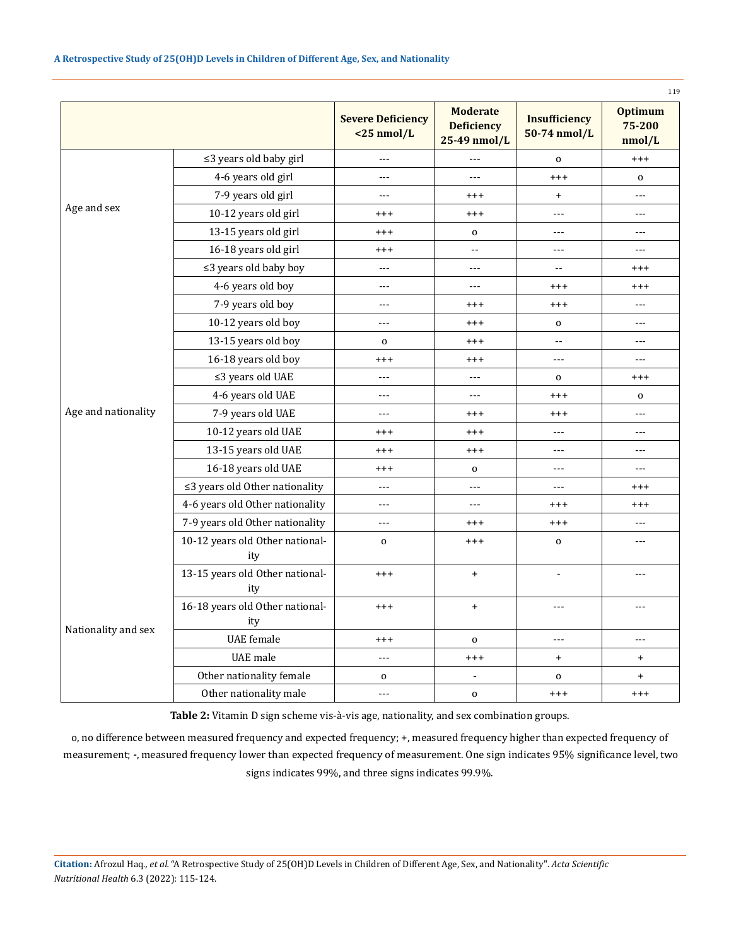|                     |                                        | <b>Severe Deficiency</b><br>$<$ 25 nmol/L | <b>Moderate</b><br><b>Deficiency</b><br>25-49 nmol/L | <b>Insufficiency</b><br>50-74 nmol/L | <b>Optimum</b><br>75-200<br>nmol/L |  |  |  |
|---------------------|----------------------------------------|-------------------------------------------|------------------------------------------------------|--------------------------------------|------------------------------------|--|--|--|
|                     | ≤3 years old baby girl                 | $---$                                     | $---$                                                | $\mathbf 0$                          | $++++$                             |  |  |  |
| Age and sex         | 4-6 years old girl                     | ---                                       | ---                                                  | $***$                                | $\mathbf 0$                        |  |  |  |
|                     | 7-9 years old girl                     | ---                                       | $^{+++}$                                             | $\ddot{}$                            | ---                                |  |  |  |
|                     | 10-12 years old girl                   | $^{+++}$                                  | $^{+++}$                                             | ---                                  | $---$                              |  |  |  |
|                     | 13-15 years old girl                   | $***$                                     | $\mathbf 0$                                          | $---$                                | $---$                              |  |  |  |
|                     | 16-18 years old girl                   | $***$                                     | $\mathbb{L}^{\mathbb{L}}$                            | ---                                  | $- - -$                            |  |  |  |
|                     | ≤3 years old baby boy                  | $\overline{a}$                            | $---$                                                | $-$                                  | $^{+++}$                           |  |  |  |
|                     | 4-6 years old boy                      | ---                                       | $\overline{a}$                                       |                                      | $^{+++}$                           |  |  |  |
|                     | 7-9 years old boy                      | ---                                       | $^{+++}$                                             | $^{+++}$                             | ---                                |  |  |  |
|                     | 10-12 years old boy                    | ---                                       | $^{+++}$                                             |                                      | ---                                |  |  |  |
|                     | 13-15 years old boy                    | 0                                         | $^{+++}$                                             | $\overline{\phantom{a}}$             | ---                                |  |  |  |
| Age and nationality | 16-18 years old boy                    | $^{+++}$                                  | $^{+++}$                                             | ---                                  | $---$                              |  |  |  |
|                     | $\leq$ 3 years old UAE                 | ---                                       | $---$                                                | 0                                    | $^{+++}$                           |  |  |  |
|                     | 4-6 years old UAE                      | ---                                       | $\cdots$                                             | $***$                                | 0                                  |  |  |  |
|                     | 7-9 years old UAE                      | $---$                                     | $^{+++}$                                             | $^{+++}$                             | $ -$                               |  |  |  |
|                     | 10-12 years old UAE                    | $^{+++}$                                  | $^{+++}$                                             | ---                                  | $---$                              |  |  |  |
|                     | 13-15 years old UAE                    | $^{+++}$                                  | $^{+++}$                                             | ---                                  | $---$                              |  |  |  |
|                     | 16-18 years old UAE                    | $^{+++}$                                  | $\mathbf{O}$                                         | ---                                  | $---$                              |  |  |  |
|                     | ≤3 years old Other nationality         | ---                                       | $---$                                                | ---                                  | $^{+++}$                           |  |  |  |
|                     | 4-6 years old Other nationality        | ---                                       | ---                                                  | $^{+++}$                             | $^{+++}$                           |  |  |  |
|                     | 7-9 years old Other nationality        | ---                                       | $^{+++}$                                             | $***$                                | ---                                |  |  |  |
|                     | 10-12 years old Other national-<br>ity | $\mathbf 0$                               | $^{+++}$                                             | 0                                    | ---                                |  |  |  |
| Nationality and sex | 13-15 years old Other national-<br>ity | $***$                                     | $\begin{array}{c} + \end{array}$                     | $\blacksquare$                       | ---                                |  |  |  |
|                     | 16-18 years old Other national-<br>ity | $^{+++}$                                  | $\ddot{}$                                            | $---$                                | ---                                |  |  |  |
|                     | <b>UAE</b> female                      | $***$                                     | $\mathbf 0$                                          | ---                                  | $---$                              |  |  |  |
|                     | UAE male                               | $\overline{a}$                            | $^{+++}$                                             | $\ddot{}$                            | $\ddot{}$                          |  |  |  |
|                     | Other nationality female               | $\mathbf 0$                               |                                                      | $\mathbf 0$                          | $+$                                |  |  |  |
|                     | Other nationality male                 | ---                                       | $\mathbf 0$                                          | $^{+++}$                             | $^{+++}$                           |  |  |  |

**Table 2:** Vitamin D sign scheme vis-à-vis age, nationality, and sex combination groups.

o, no difference between measured frequency and expected frequency; +, measured frequency higher than expected frequency of measurement; **-**, measured frequency lower than expected frequency of measurement. One sign indicates 95% significance level, two signs indicates 99%, and three signs indicates 99.9%.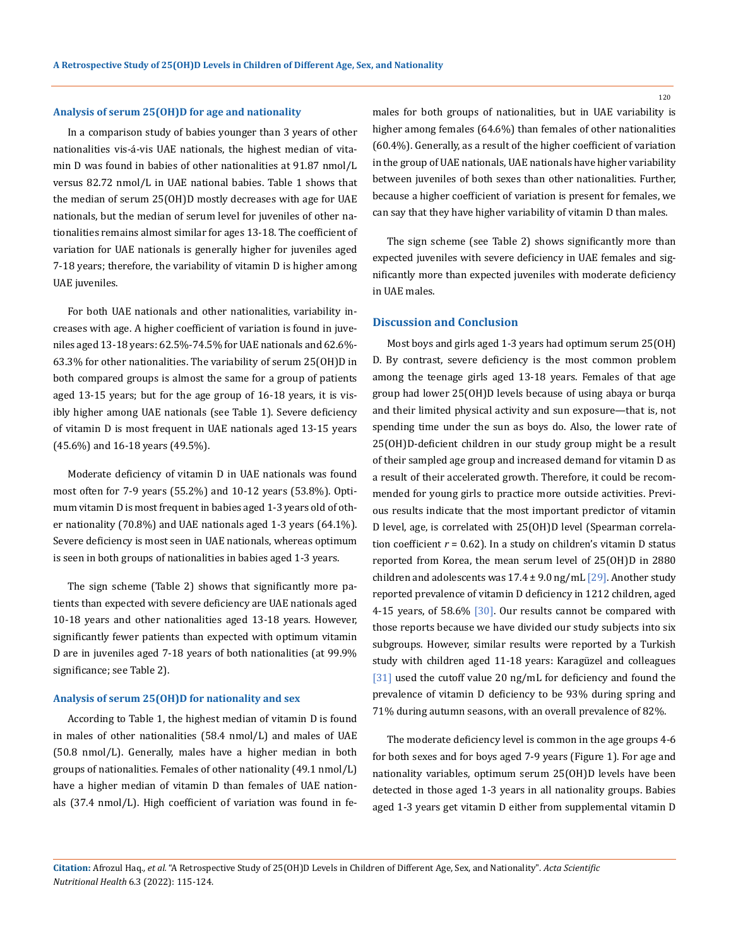#### **Analysis of serum 25(OH)D for age and nationality**

In a comparison study of babies younger than 3 years of other nationalities vis-á-vis UAE nationals, the highest median of vitamin D was found in babies of other nationalities at 91.87 nmol/L versus 82.72 nmol/L in UAE national babies. Table 1 shows that the median of serum 25(OH)D mostly decreases with age for UAE nationals, but the median of serum level for juveniles of other nationalities remains almost similar for ages 13-18. The coefficient of variation for UAE nationals is generally higher for juveniles aged 7-18 years; therefore, the variability of vitamin D is higher among UAE juveniles.

For both UAE nationals and other nationalities, variability increases with age. A higher coefficient of variation is found in juveniles aged 13-18 years: 62.5%-74.5% for UAE nationals and 62.6%- 63.3% for other nationalities. The variability of serum 25(OH)D in both compared groups is almost the same for a group of patients aged 13-15 years; but for the age group of 16-18 years, it is visibly higher among UAE nationals (see Table 1). Severe deficiency of vitamin D is most frequent in UAE nationals aged 13-15 years (45.6%) and 16-18 years (49.5%).

Moderate deficiency of vitamin D in UAE nationals was found most often for 7-9 years (55.2%) and 10-12 years (53.8%). Optimum vitamin D is most frequent in babies aged 1-3 years old of other nationality (70.8%) and UAE nationals aged 1-3 years (64.1%). Severe deficiency is most seen in UAE nationals, whereas optimum is seen in both groups of nationalities in babies aged 1-3 years.

The sign scheme (Table 2) shows that significantly more patients than expected with severe deficiency are UAE nationals aged 10-18 years and other nationalities aged 13-18 years. However, significantly fewer patients than expected with optimum vitamin D are in juveniles aged 7-18 years of both nationalities (at 99.9% significance; see Table 2).

#### **Analysis of serum 25(OH)D for nationality and sex**

According to Table 1, the highest median of vitamin D is found in males of other nationalities (58.4 nmol/L) and males of UAE (50.8 nmol/L). Generally, males have a higher median in both groups of nationalities. Females of other nationality (49.1 nmol/L) have a higher median of vitamin D than females of UAE nationals (37.4 nmol/L). High coefficient of variation was found in females for both groups of nationalities, but in UAE variability is higher among females (64.6%) than females of other nationalities (60.4%). Generally, as a result of the higher coefficient of variation in the group of UAE nationals, UAE nationals have higher variability between juveniles of both sexes than other nationalities. Further, because a higher coefficient of variation is present for females, we can say that they have higher variability of vitamin D than males.

The sign scheme (see Table 2) shows significantly more than expected juveniles with severe deficiency in UAE females and significantly more than expected juveniles with moderate deficiency in UAE males.

#### **Discussion and Conclusion**

Most boys and girls aged 1-3 years had optimum serum 25(OH) D. By contrast, severe deficiency is the most common problem among the teenage girls aged 13-18 years. Females of that age group had lower 25(OH)D levels because of using abaya or burqa and their limited physical activity and sun exposure—that is, not spending time under the sun as boys do. Also, the lower rate of 25(OH)D-deficient children in our study group might be a result of their sampled age group and increased demand for vitamin D as a result of their accelerated growth. Therefore, it could be recommended for young girls to practice more outside activities. Previous results indicate that the most important predictor of vitamin D level, age, is correlated with 25(OH)D level (Spearman correlation coefficient  $r = 0.62$ ). In a study on children's vitamin D status reported from Korea, the mean serum level of 25(OH)D in 2880 children and adolescents was  $17.4 \pm 9.0$  ng/mL  $[29]$ . Another study reported prevalence of vitamin D deficiency in 1212 children, aged 4-15 years, of 58.6% [30]. Our results cannot be compared with those reports because we have divided our study subjects into six subgroups. However, similar results were reported by a Turkish study with children aged 11-18 years: Karagüzel and colleagues [31] used the cutoff value 20 ng/mL for deficiency and found the prevalence of vitamin D deficiency to be 93% during spring and 71% during autumn seasons, with an overall prevalence of 82%.

The moderate deficiency level is common in the age groups 4-6 for both sexes and for boys aged 7-9 years (Figure 1). For age and nationality variables, optimum serum 25(OH)D levels have been detected in those aged 1-3 years in all nationality groups. Babies aged 1-3 years get vitamin D either from supplemental vitamin D

```
Citation: Afrozul Haq., et al. "A Retrospective Study of 25(OH)D Levels in Children of Different Age, Sex, and Nationality". Acta Scientific
Nutritional Health 6.3 (2022): 115-124.
```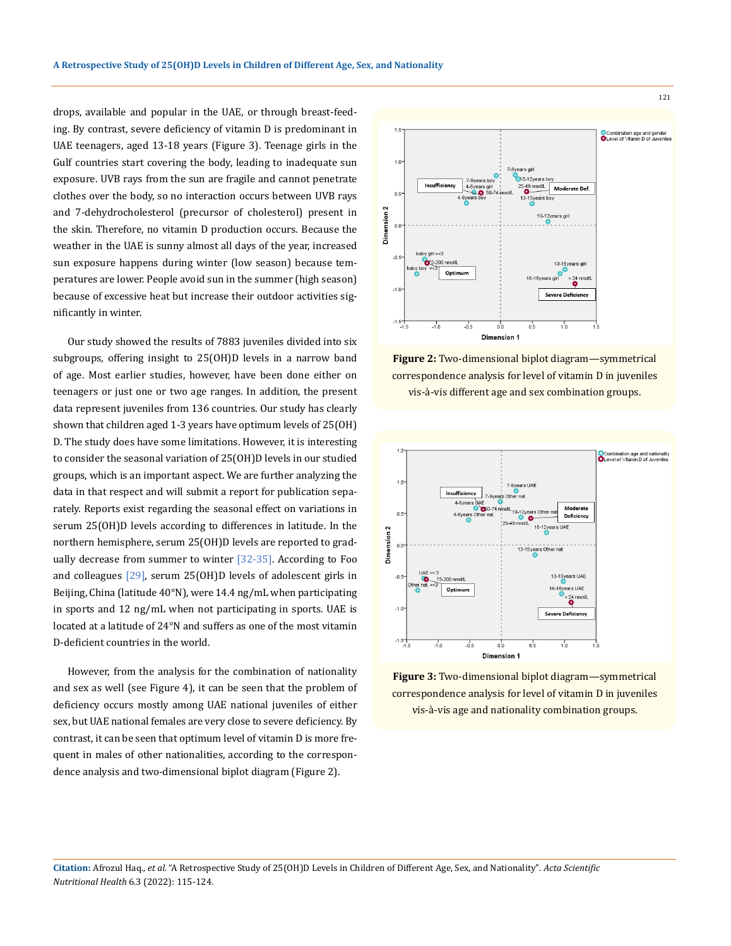drops, available and popular in the UAE, or through breast-feeding. By contrast, severe deficiency of vitamin D is predominant in UAE teenagers, aged 13-18 years (Figure 3). Teenage girls in the Gulf countries start covering the body, leading to inadequate sun exposure. UVB rays from the sun are fragile and cannot penetrate clothes over the body, so no interaction occurs between UVB rays and 7-dehydrocholesterol (precursor of cholesterol) present in the skin. Therefore, no vitamin D production occurs. Because the weather in the UAE is sunny almost all days of the year, increased sun exposure happens during winter (low season) because temperatures are lower. People avoid sun in the summer (high season) because of excessive heat but increase their outdoor activities significantly in winter.

Our study showed the results of 7883 juveniles divided into six subgroups, offering insight to 25(OH)D levels in a narrow band of age. Most earlier studies, however, have been done either on teenagers or just one or two age ranges. In addition, the present data represent juveniles from 136 countries. Our study has clearly shown that children aged 1-3 years have optimum levels of 25(OH) D. The study does have some limitations. However, it is interesting to consider the seasonal variation of 25(OH)D levels in our studied groups, which is an important aspect. We are further analyzing the data in that respect and will submit a report for publication separately. Reports exist regarding the seasonal effect on variations in serum 25(OH)D levels according to differences in latitude. In the northern hemisphere, serum 25(OH)D levels are reported to gradually decrease from summer to winter [32-35]. According to Foo and colleagues  $[29]$ , serum 25(OH)D levels of adolescent girls in Beijing, China (latitude 40°N), were 14.4 ng/mL when participating in sports and 12 ng/mL when not participating in sports. UAE is located at a latitude of 24°N and suffers as one of the most vitamin D-deficient countries in the world.

However, from the analysis for the combination of nationality and sex as well (see Figure 4), it can be seen that the problem of deficiency occurs mostly among UAE national juveniles of either sex, but UAE national females are very close to severe deficiency. By contrast, it can be seen that optimum level of vitamin D is more frequent in males of other nationalities, according to the correspondence analysis and two-dimensional biplot diagram (Figure 2).



**Figure 2:** Two-dimensional biplot diagram—symmetrical correspondence analysis for level of vitamin D in juveniles vis-à-vis different age and sex combination groups.



**Figure 3:** Two-dimensional biplot diagram—symmetrical correspondence analysis for level of vitamin D in juveniles vis-à-vis age and nationality combination groups.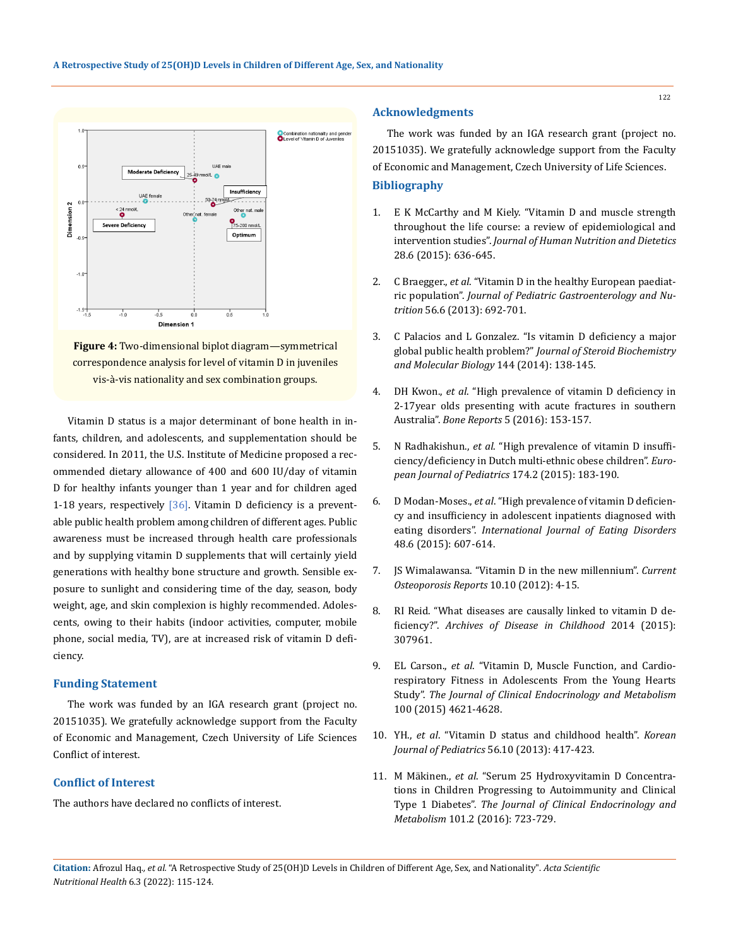



Vitamin D status is a major determinant of bone health in infants, children, and adolescents, and supplementation should be considered. In 2011, the U.S. Institute of Medicine proposed a recommended dietary allowance of 400 and 600 IU/day of vitamin D for healthy infants younger than 1 year and for children aged 1-18 years, respectively  $[36]$ . Vitamin D deficiency is a preventable public health problem among children of different ages. Public awareness must be increased through health care professionals and by supplying vitamin D supplements that will certainly yield generations with healthy bone structure and growth. Sensible exposure to sunlight and considering time of the day, season, body weight, age, and skin complexion is highly recommended. Adolescents, owing to their habits (indoor activities, computer, mobile phone, social media, TV), are at increased risk of vitamin D deficiency.

### **Funding Statement**

The work was funded by an IGA research grant (project no. 20151035). We gratefully acknowledge support from the Faculty of Economic and Management, Czech University of Life Sciences Conflict of interest.

## **Conflict of Interest**

The authors have declared no conflicts of interest.

## **Acknowledgments**

The work was funded by an IGA research grant (project no. 20151035). We gratefully acknowledge support from the Faculty of Economic and Management, Czech University of Life Sciences.

## **Bibliography**

- 1. [E K McCarthy and M Kiely. "Vitamin D and muscle strength](https://pubmed.ncbi.nlm.nih.gov/25280068/)  [throughout the life course: a review of epidemiological and](https://pubmed.ncbi.nlm.nih.gov/25280068/)  intervention studies". *[Journal of Human Nutrition and Dietetics](https://pubmed.ncbi.nlm.nih.gov/25280068/)*  [28.6 \(2015\): 636-645.](https://pubmed.ncbi.nlm.nih.gov/25280068/)
- 2. C Braegger., *et al*[. "Vitamin D in the healthy European paediat](https://pubmed.ncbi.nlm.nih.gov/23708639/)ric population". *[Journal of Pediatric Gastroenterology and Nu](https://pubmed.ncbi.nlm.nih.gov/23708639/)trition* [56.6 \(2013\): 692-701.](https://pubmed.ncbi.nlm.nih.gov/23708639/)
- 3. [C Palacios and L Gonzalez. "Is vitamin D deficiency a major](https://pubmed.ncbi.nlm.nih.gov/24239505/)  global public health problem?" *[Journal of Steroid Biochemistry](https://pubmed.ncbi.nlm.nih.gov/24239505/)  [and Molecular Biology](https://pubmed.ncbi.nlm.nih.gov/24239505/)* 144 (2014): 138-145.
- 4. DH Kwon., *et al*[. "High prevalence of vitamin D deficiency in](https://www.ncbi.nlm.nih.gov/pmc/articles/PMC4926840/)  [2-17year olds presenting with acute fractures in southern](https://www.ncbi.nlm.nih.gov/pmc/articles/PMC4926840/)  Australia". *Bone Reports* [5 \(2016\): 153-157.](https://www.ncbi.nlm.nih.gov/pmc/articles/PMC4926840/)
- 5. N Radhakishun., *et al*[. "High prevalence of vitamin D insuffi](https://pubmed.ncbi.nlm.nih.gov/25015716/)[ciency/deficiency in Dutch multi-ethnic obese children".](https://pubmed.ncbi.nlm.nih.gov/25015716/) *European [Journal of Pediatrics](https://pubmed.ncbi.nlm.nih.gov/25015716/)* 174.2 (2015): 183-190.
- 6. D Modan-Moses., *et al*[. "High prevalence of vitamin D deficien](https://www.researchgate.net/publication/264864426_High_prevalence_of_vitamin_D_deficiency_and_insufficiency_in_adolescent_inpatients_diagnosed_with_eating_disorders)[cy and insufficiency in adolescent inpatients diagnosed with](https://www.researchgate.net/publication/264864426_High_prevalence_of_vitamin_D_deficiency_and_insufficiency_in_adolescent_inpatients_diagnosed_with_eating_disorders)  eating disorders". *[International Journal of Eating Disorders](https://www.researchgate.net/publication/264864426_High_prevalence_of_vitamin_D_deficiency_and_insufficiency_in_adolescent_inpatients_diagnosed_with_eating_disorders)* [48.6 \(2015\): 607-614.](https://www.researchgate.net/publication/264864426_High_prevalence_of_vitamin_D_deficiency_and_insufficiency_in_adolescent_inpatients_diagnosed_with_eating_disorders)
- 7. [JS Wimalawansa. "Vitamin D in the new millennium".](https://pubmed.ncbi.nlm.nih.gov/22249582/) *Current [Osteoporosis Reports](https://pubmed.ncbi.nlm.nih.gov/22249582/)* 10.10 (2012): 4-15.
- 8. [RI Reid. "What diseases are causally linked to vitamin D de](http://dx.doi.org/10.1136/archdischild-2014-307961)ficiency?". *[Archives of Disease in Childhood](http://dx.doi.org/10.1136/archdischild-2014-307961)* 2014 (2015): [307961.](http://dx.doi.org/10.1136/archdischild-2014-307961)
- 9. EL Carson., *et al*[. "Vitamin D, Muscle Function, and Cardio](https://pubmed.ncbi.nlm.nih.gov/26485221/)[respiratory Fitness in Adolescents From the Young Hearts](https://pubmed.ncbi.nlm.nih.gov/26485221/)  Study". *[The Journal of Clinical Endocrinology and Metabolism](https://pubmed.ncbi.nlm.nih.gov/26485221/)*  [100 \(2015\) 4621-4628.](https://pubmed.ncbi.nlm.nih.gov/26485221/)
- 10. YH., *et al*[. "Vitamin D status and childhood health".](https://pubmed.ncbi.nlm.nih.gov/24244209/) *Korean [Journal of Pediatrics](https://pubmed.ncbi.nlm.nih.gov/24244209/)* 56.10 (2013): 417-423.
- 11. M Mäkinen., *et al*[. "Serum 25 Hydroxyvitamin D Concentra](https://academic.oup.com/jcem/article/101/2/723/2811156)[tions in Children Progressing to Autoimmunity and Clinical](https://academic.oup.com/jcem/article/101/2/723/2811156)  Type 1 Diabetes". *[The Journal of Clinical Endocrinology and](https://academic.oup.com/jcem/article/101/2/723/2811156)  Metabolism* [101.2 \(2016\): 723-729.](https://academic.oup.com/jcem/article/101/2/723/2811156)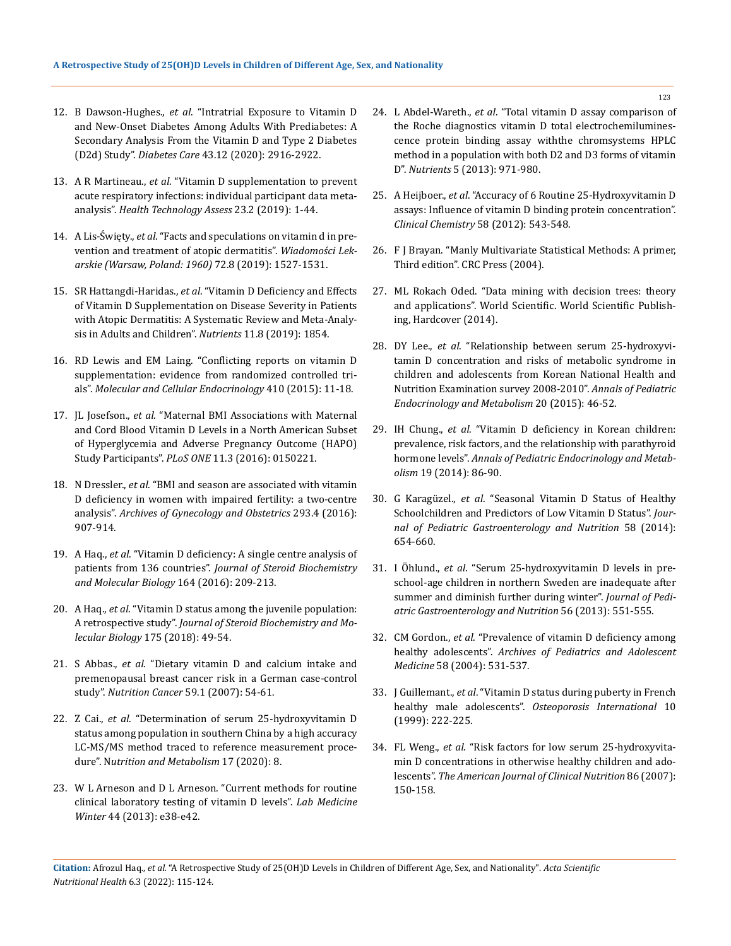- 12. B Dawson-Hughes., *et al*. "Intratrial Exposure to Vitamin D and New-Onset Diabetes Among Adults With Prediabetes: A Secondary Analysis From the Vitamin D and Type 2 Diabetes (D2d) Study". *Diabetes Care* 43.12 (2020): 2916-2922.
- 13. A R Martineau., *et al*[. "Vitamin D supplementation to prevent](https://pubmed.ncbi.nlm.nih.gov/30675873/)  [acute respiratory infections: individual participant data meta](https://pubmed.ncbi.nlm.nih.gov/30675873/)analysis". *[Health Technology Assess](https://pubmed.ncbi.nlm.nih.gov/30675873/)* 23.2 (2019): 1-44.
- 14. A Lis-Święty., *et al*[. "Facts and speculations on vitamin d in pre](https://www.researchgate.net/publication/339066947_Facts_and_speculations_on_vitamin_d_in_prevention_and_treatment_of_atopic_dermatitis)[vention and treatment of atopic dermatitis".](https://www.researchgate.net/publication/339066947_Facts_and_speculations_on_vitamin_d_in_prevention_and_treatment_of_atopic_dermatitis) *Wiadomości Lek[arskie \(Warsaw, Poland: 1960\)](https://www.researchgate.net/publication/339066947_Facts_and_speculations_on_vitamin_d_in_prevention_and_treatment_of_atopic_dermatitis)* 72.8 (2019): 1527-1531.
- 15. SR Hattangdi-Haridas., *et al*[. "Vitamin D Deficiency and Effects](https://www.mdpi.com/2072-6643/11/8/1854)  [of Vitamin D Supplementation on Disease Severity in Patients](https://www.mdpi.com/2072-6643/11/8/1854)  [with Atopic Dermatitis: A Systematic Review and Meta-Analy](https://www.mdpi.com/2072-6643/11/8/1854)[sis in Adults and Children".](https://www.mdpi.com/2072-6643/11/8/1854) *Nutrients* 11.8 (2019): 1854.
- 16. [RD Lewis and EM Laing. "Conflicting reports on vitamin D](https://pubmed.ncbi.nlm.nih.gov/25818882/)  [supplementation: evidence from randomized controlled tri](https://pubmed.ncbi.nlm.nih.gov/25818882/)als". *[Molecular and Cellular Endocrinology](https://pubmed.ncbi.nlm.nih.gov/25818882/)* 410 (2015): 11-18.
- 17. JL Josefson., *et al*[. "Maternal BMI Associations with Maternal](https://pubmed.ncbi.nlm.nih.gov/26942930/)  [and Cord Blood Vitamin D Levels in a North American Subset](https://pubmed.ncbi.nlm.nih.gov/26942930/)  [of Hyperglycemia and Adverse Pregnancy Outcome \(HAPO\)](https://pubmed.ncbi.nlm.nih.gov/26942930/)  Study Participants". *PLoS ONE* [11.3 \(2016\): 0150221.](https://pubmed.ncbi.nlm.nih.gov/26942930/)
- 18. N Dressler., *et al*[. "BMI and season are associated with vitamin](https://pubmed.ncbi.nlm.nih.gov/26573012/)  [D deficiency in women with impaired fertility: a two-centre](https://pubmed.ncbi.nlm.nih.gov/26573012/)  analysis". *[Archives of Gynecology and Obstetrics](https://pubmed.ncbi.nlm.nih.gov/26573012/)* 293.4 (2016): [907-914.](https://pubmed.ncbi.nlm.nih.gov/26573012/)
- 19. A Haq., *et al*[. "Vitamin D deficiency: A single centre analysis of](https://pubmed.ncbi.nlm.nih.gov/26877203/)  patients from 136 countries". *[Journal of Steroid Biochemistry](https://pubmed.ncbi.nlm.nih.gov/26877203/)  [and Molecular Biology](https://pubmed.ncbi.nlm.nih.gov/26877203/)* 164 (2016): 209-213.
- 20. A Haq., *et al*[. "Vitamin D status among the juvenile population:](https://pubmed.ncbi.nlm.nih.gov/28108200/)  A retrospective study". *[Journal of Steroid Biochemistry and Mo](https://pubmed.ncbi.nlm.nih.gov/28108200/)lecular Biology* [175 \(2018\): 49-54.](https://pubmed.ncbi.nlm.nih.gov/28108200/)
- 21. S Abbas., *et al*[. "Dietary vitamin D and calcium intake and](https://pubmed.ncbi.nlm.nih.gov/17927502/)  [premenopausal breast cancer risk in a German case-control](https://pubmed.ncbi.nlm.nih.gov/17927502/)  study". *[Nutrition Cancer](https://pubmed.ncbi.nlm.nih.gov/17927502/)* 59.1 (2007): 54-61.
- 22. Z Cai., *et al*[. "Determination of serum 25-hydroxyvitamin D](https://doi.org/10.1186/s12986-020-0427-7)  [status among population in southern China by a high accuracy](https://doi.org/10.1186/s12986-020-0427-7)  [LC-MS/MS method traced to reference measurement proce](https://doi.org/10.1186/s12986-020-0427-7)dure". N*[utrition and Metabolism](https://doi.org/10.1186/s12986-020-0427-7)* 17 (2020): 8.
- 23. [W L Arneson and D L Arneson. "Current methods for routine](https://academic.oup.com/labmed/article/44/1/e38/2657904)  [clinical laboratory testing of vitamin D levels".](https://academic.oup.com/labmed/article/44/1/e38/2657904) *Lab Medicine Winter* [44 \(2013\): e38-e42.](https://academic.oup.com/labmed/article/44/1/e38/2657904)
- 24. L Abdel-Wareth., *et al*[. "Total vitamin D assay comparison of](https://www.ncbi.nlm.nih.gov/pmc/articles/PMC3705330/)  [the Roche diagnostics vitamin D total electrochemilumines](https://www.ncbi.nlm.nih.gov/pmc/articles/PMC3705330/)[cence protein binding assay withthe chromsystems HPLC](https://www.ncbi.nlm.nih.gov/pmc/articles/PMC3705330/)  [method in a population with both D2 and D3 forms of vitamin](https://www.ncbi.nlm.nih.gov/pmc/articles/PMC3705330/)  D". *Nutrients* [5 \(2013\): 971-980.](https://www.ncbi.nlm.nih.gov/pmc/articles/PMC3705330/)
- 25. A Heijboer., *et al*[. "Accuracy of 6 Routine 25-Hydroxyvitamin D](https://pubmed.ncbi.nlm.nih.gov/22247500/)  [assays: Influence of vitamin D binding protein concentration".](https://pubmed.ncbi.nlm.nih.gov/22247500/)  *[Clinical Chemistry](https://pubmed.ncbi.nlm.nih.gov/22247500/)* 58 (2012): 543-548.
- 26. F J Brayan. "Manly Multivariate Statistical Methods: A primer, Third edition". CRC Press (2004).
- 27. ML Rokach Oded. "Data mining with decision trees: theory and applications". World Scientific. World Scientific Publishing, Hardcover (2014).
- 28. DY Lee., *et al*[. "Relationship between serum 25-hydroxyvi](https://pubmed.ncbi.nlm.nih.gov/25883927/)[tamin D concentration and risks of metabolic syndrome in](https://pubmed.ncbi.nlm.nih.gov/25883927/)  [children and adolescents from Korean National Health and](https://pubmed.ncbi.nlm.nih.gov/25883927/)  [Nutrition Examination survey 2008-2010".](https://pubmed.ncbi.nlm.nih.gov/25883927/) *Annals of Pediatric [Endocrinology and Metabolism](https://pubmed.ncbi.nlm.nih.gov/25883927/)* 20 (2015): 46-52.
- 29. IH Chung., *et al*[. "Vitamin D deficiency in Korean children:](https://www.ncbi.nlm.nih.gov/pmc/articles/PMC4114049/)  [prevalence, risk factors, and the relationship with parathyroid](https://www.ncbi.nlm.nih.gov/pmc/articles/PMC4114049/)  hormone levels". *[Annals of Pediatric Endocrinology and Metab](https://www.ncbi.nlm.nih.gov/pmc/articles/PMC4114049/)olism* [19 \(2014\): 86-90.](https://www.ncbi.nlm.nih.gov/pmc/articles/PMC4114049/)
- 30. G Karagüzel., *et al*[. "Seasonal Vitamin D Status of Healthy](https://pubmed.ncbi.nlm.nih.gov/24787093/)  [Schoolchildren and Predictors of Low Vitamin D Status".](https://pubmed.ncbi.nlm.nih.gov/24787093/) *Jour[nal of Pediatric Gastroenterology and Nutrition](https://pubmed.ncbi.nlm.nih.gov/24787093/)* 58 (2014): [654-660.](https://pubmed.ncbi.nlm.nih.gov/24787093/)
- 31. I Öhlund., *et al*[. "Serum 25-hydroxyvitamin D levels in pre](https://pubmed.ncbi.nlm.nih.gov/23274340/)[school-age children in northern Sweden are inadequate after](https://pubmed.ncbi.nlm.nih.gov/23274340/)  [summer and diminish further during winter".](https://pubmed.ncbi.nlm.nih.gov/23274340/) *Journal of Pedi[atric Gastroenterology and Nutrition](https://pubmed.ncbi.nlm.nih.gov/23274340/)* 56 (2013): 551-555.
- 32. CM Gordon., *et al*[. "Prevalence of vitamin D deficiency among](https://pubmed.ncbi.nlm.nih.gov/15184215/)  healthy adolescents". *[Archives of Pediatrics and Adolescent](https://pubmed.ncbi.nlm.nih.gov/15184215/)  Medicine* [58 \(2004\): 531-537.](https://pubmed.ncbi.nlm.nih.gov/15184215/)
- 33. J Guillemant., *et al*[. "Vitamin D status during puberty in French](https://pubmed.ncbi.nlm.nih.gov/10525714/)  healthy male adolescents". *[Osteoporosis International](https://pubmed.ncbi.nlm.nih.gov/10525714/)* 10 [\(1999\): 222-225.](https://pubmed.ncbi.nlm.nih.gov/10525714/)
- 34. FL Weng., *et al*[. "Risk factors for low serum 25-hydroxyvita](https://pubmed.ncbi.nlm.nih.gov/17616775/)[min D concentrations in otherwise healthy children and ado](https://pubmed.ncbi.nlm.nih.gov/17616775/)lescents". *[The American Journal of Clinical Nutrition](https://pubmed.ncbi.nlm.nih.gov/17616775/)* 86 (2007): [150-158.](https://pubmed.ncbi.nlm.nih.gov/17616775/)

**Citation:** Afrozul Haq*., et al.* "A Retrospective Study of 25(OH)D Levels in Children of Different Age, Sex, and Nationality". *Acta Scientific Nutritional Health* 6.3 (2022): 115-124.